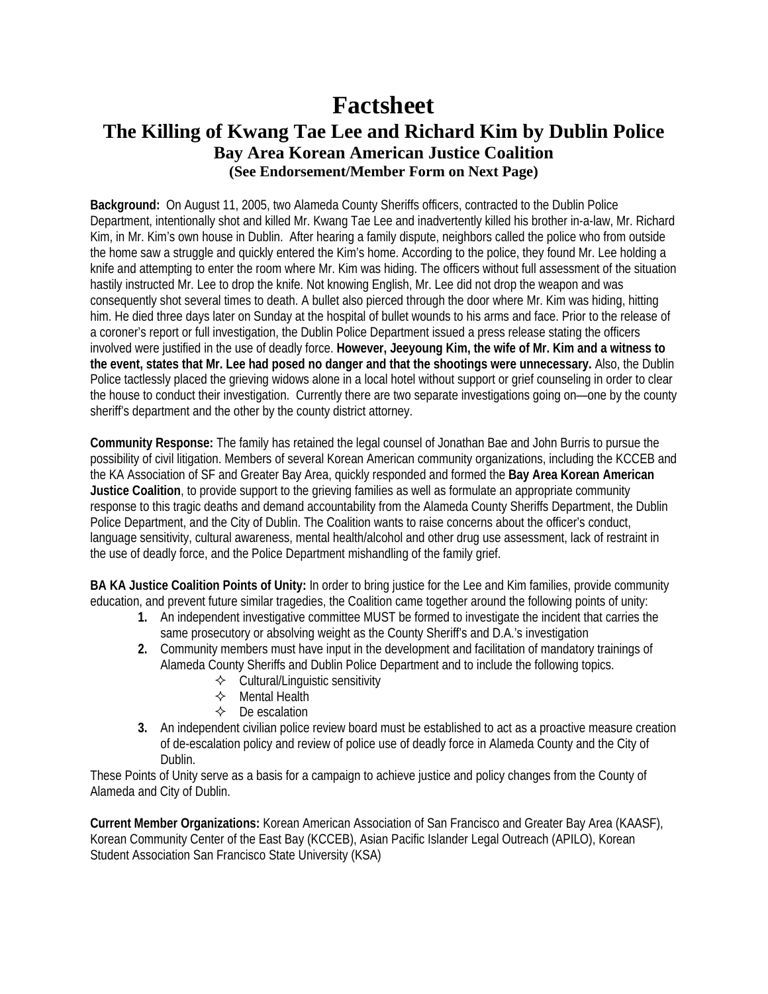## **Factsheet The Killing of Kwang Tae Lee and Richard Kim by Dublin Police Bay Area Korean American Justice Coalition (See Endorsement/Member Form on Next Page)**

**Background:** On August 11, 2005, two Alameda County Sheriffs officers, contracted to the Dublin Police Department, intentionally shot and killed Mr. Kwang Tae Lee and inadvertently killed his brother in-a-law, Mr. Richard Kim, in Mr. Kim's own house in Dublin. After hearing a family dispute, neighbors called the police who from outside the home saw a struggle and quickly entered the Kim's home. According to the police, they found Mr. Lee holding a knife and attempting to enter the room where Mr. Kim was hiding. The officers without full assessment of the situation hastily instructed Mr. Lee to drop the knife. Not knowing English, Mr. Lee did not drop the weapon and was consequently shot several times to death. A bullet also pierced through the door where Mr. Kim was hiding, hitting him. He died three days later on Sunday at the hospital of bullet wounds to his arms and face. Prior to the release of a coroner's report or full investigation, the Dublin Police Department issued a press release stating the officers involved were justified in the use of deadly force. **However, Jeeyoung Kim, the wife of Mr. Kim and a witness to the event, states that Mr. Lee had posed no danger and that the shootings were unnecessary.** Also, the Dublin Police tactlessly placed the grieving widows alone in a local hotel without support or grief counseling in order to clear the house to conduct their investigation. Currently there are two separate investigations going on—one by the county sheriff's department and the other by the county district attorney.

**Community Response:** The family has retained the legal counsel of Jonathan Bae and John Burris to pursue the possibility of civil litigation. Members of several Korean American community organizations, including the KCCEB and the KA Association of SF and Greater Bay Area, quickly responded and formed the **Bay Area Korean American Justice Coalition**, to provide support to the grieving families as well as formulate an appropriate community response to this tragic deaths and demand accountability from the Alameda County Sheriffs Department, the Dublin Police Department, and the City of Dublin. The Coalition wants to raise concerns about the officer's conduct, language sensitivity, cultural awareness, mental health/alcohol and other drug use assessment, lack of restraint in the use of deadly force, and the Police Department mishandling of the family grief.

**BA KA Justice Coalition Points of Unity:** In order to bring justice for the Lee and Kim families, provide community education, and prevent future similar tragedies, the Coalition came together around the following points of unity:

- **1.** An independent investigative committee MUST be formed to investigate the incident that carries the same prosecutory or absolving weight as the County Sheriff's and D.A.'s investigation
- **2.** Community members must have input in the development and facilitation of mandatory trainings of Alameda County Sheriffs and Dublin Police Department and to include the following topics.
	- $\diamond$  Cultural/Linguistic sensitivity
	- $\Leftrightarrow$  Mental Health
	- $\Diamond$  De escalation
- **3.** An independent civilian police review board must be established to act as a proactive measure creation of de-escalation policy and review of police use of deadly force in Alameda County and the City of Dublin.

These Points of Unity serve as a basis for a campaign to achieve justice and policy changes from the County of Alameda and City of Dublin.

**Current Member Organizations:** Korean American Association of San Francisco and Greater Bay Area (KAASF), Korean Community Center of the East Bay (KCCEB), Asian Pacific Islander Legal Outreach (APILO), Korean Student Association San Francisco State University (KSA)